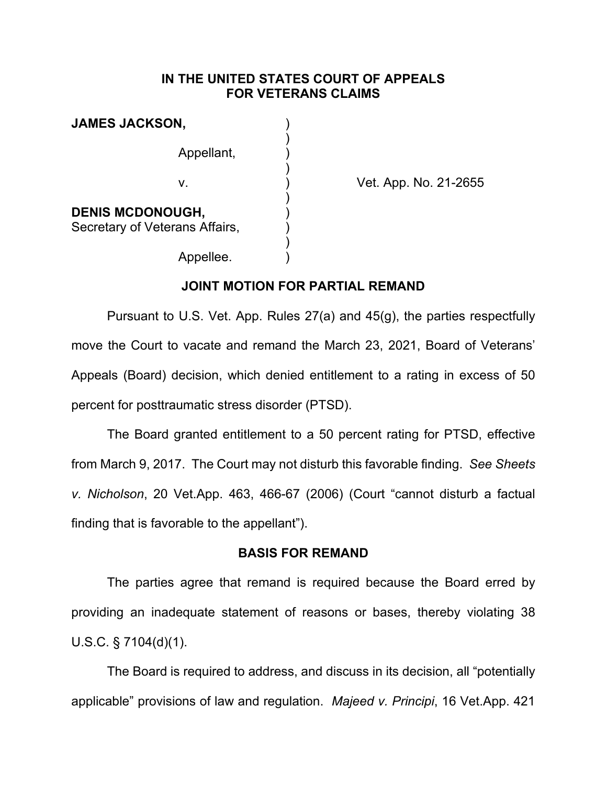### **IN THE UNITED STATES COURT OF APPEALS FOR VETERANS CLAIMS**

| <b>JAMES JACKSON,</b>                                     |  |
|-----------------------------------------------------------|--|
| Appellant.                                                |  |
| V.                                                        |  |
| <b>DENIS MCDONOUGH,</b><br>Secretary of Veterans Affairs, |  |
| Appellee.                                                 |  |

Vet. App. No. 21-2655

#### **JOINT MOTION FOR PARTIAL REMAND**

Pursuant to U.S. Vet. App. Rules 27(a) and 45(g), the parties respectfully move the Court to vacate and remand the March 23, 2021, Board of Veterans' Appeals (Board) decision, which denied entitlement to a rating in excess of 50 percent for posttraumatic stress disorder (PTSD).

The Board granted entitlement to a 50 percent rating for PTSD, effective from March 9, 2017. The Court may not disturb this favorable finding. *See Sheets v. Nicholson*, 20 Vet.App. 463, 466-67 (2006) (Court "cannot disturb a factual finding that is favorable to the appellant").

### **BASIS FOR REMAND**

The parties agree that remand is required because the Board erred by providing an inadequate statement of reasons or bases, thereby violating 38 U.S.C. § 7104(d)(1).

The Board is required to address, and discuss in its decision, all "potentially applicable" provisions of law and regulation. *Majeed v. Principi*, 16 Vet.App. 421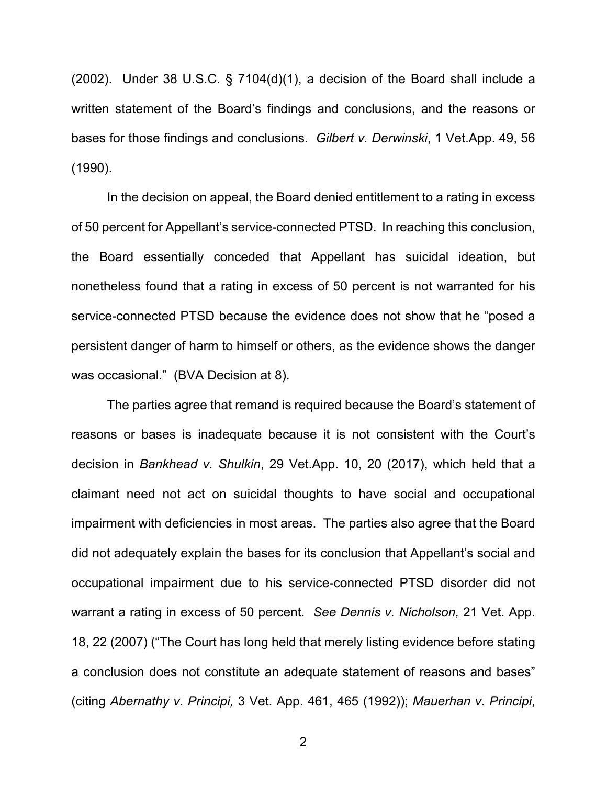(2002). Under 38 U.S.C. § 7104(d)(1), a decision of the Board shall include a written statement of the Board's findings and conclusions, and the reasons or bases for those findings and conclusions. *Gilbert v. Derwinski*, 1 Vet.App. 49, 56 (1990).

In the decision on appeal, the Board denied entitlement to a rating in excess of 50 percent for Appellant's service-connected PTSD. In reaching this conclusion, the Board essentially conceded that Appellant has suicidal ideation, but nonetheless found that a rating in excess of 50 percent is not warranted for his service-connected PTSD because the evidence does not show that he "posed a persistent danger of harm to himself or others, as the evidence shows the danger was occasional." (BVA Decision at 8).

The parties agree that remand is required because the Board's statement of reasons or bases is inadequate because it is not consistent with the Court's decision in *Bankhead v. Shulkin*, 29 Vet.App. 10, 20 (2017), which held that a claimant need not act on suicidal thoughts to have social and occupational impairment with deficiencies in most areas. The parties also agree that the Board did not adequately explain the bases for its conclusion that Appellant's social and occupational impairment due to his service-connected PTSD disorder did not warrant a rating in excess of 50 percent. *See Dennis v. Nicholson,* 21 Vet. App. 18, 22 (2007) ("The Court has long held that merely listing evidence before stating a conclusion does not constitute an adequate statement of reasons and bases" (citing *Abernathy v. Principi,* 3 Vet. App. 461, 465 (1992)); *Mauerhan v. Principi*,

2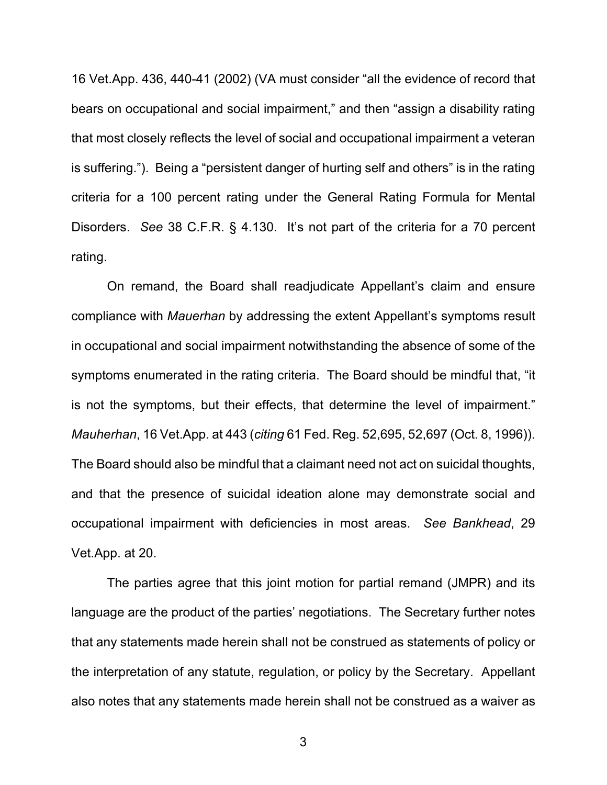16 Vet.App. 436, 440-41 (2002) (VA must consider "all the evidence of record that bears on occupational and social impairment," and then "assign a disability rating that most closely reflects the level of social and occupational impairment a veteran is suffering."). Being a "persistent danger of hurting self and others" is in the rating criteria for a 100 percent rating under the General Rating Formula for Mental Disorders. *See* 38 C.F.R. § 4.130. It's not part of the criteria for a 70 percent rating.

On remand, the Board shall readjudicate Appellant's claim and ensure compliance with *Mauerhan* by addressing the extent Appellant's symptoms result in occupational and social impairment notwithstanding the absence of some of the symptoms enumerated in the rating criteria. The Board should be mindful that, "it is not the symptoms, but their effects, that determine the level of impairment." *Mauherhan*, 16 Vet.App. at 443 (*citing* 61 Fed. Reg. 52,695, 52,697 (Oct. 8, 1996)). The Board should also be mindful that a claimant need not act on suicidal thoughts, and that the presence of suicidal ideation alone may demonstrate social and occupational impairment with deficiencies in most areas. *See Bankhead*, 29 Vet.App. at 20.

The parties agree that this joint motion for partial remand (JMPR) and its language are the product of the parties' negotiations. The Secretary further notes that any statements made herein shall not be construed as statements of policy or the interpretation of any statute, regulation, or policy by the Secretary. Appellant also notes that any statements made herein shall not be construed as a waiver as

3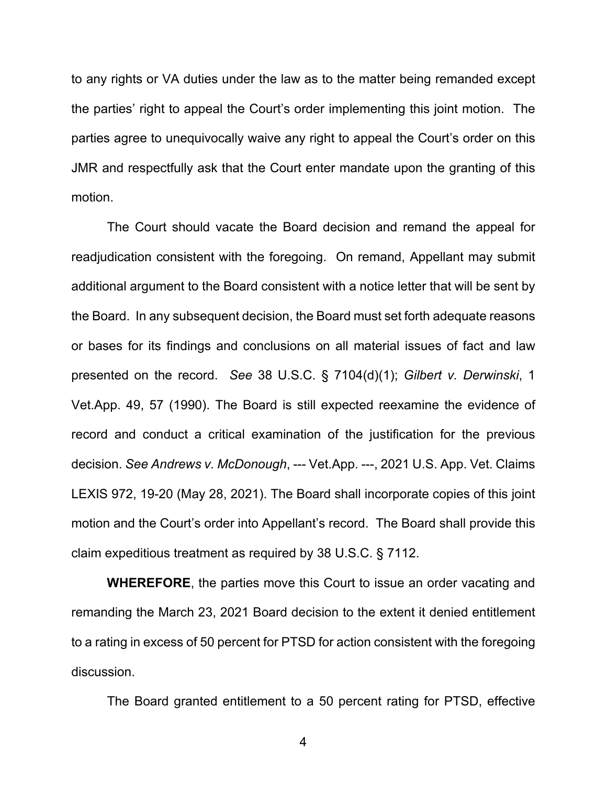to any rights or VA duties under the law as to the matter being remanded except the parties' right to appeal the Court's order implementing this joint motion. The parties agree to unequivocally waive any right to appeal the Court's order on this JMR and respectfully ask that the Court enter mandate upon the granting of this motion.

The Court should vacate the Board decision and remand the appeal for readjudication consistent with the foregoing. On remand, Appellant may submit additional argument to the Board consistent with a notice letter that will be sent by the Board. In any subsequent decision, the Board must set forth adequate reasons or bases for its findings and conclusions on all material issues of fact and law presented on the record. *See* 38 U.S.C. § 7104(d)(1); *Gilbert v. Derwinski*, 1 Vet.App. 49, 57 (1990). The Board is still expected reexamine the evidence of record and conduct a critical examination of the justification for the previous decision. *See Andrews v. McDonough*, --- Vet.App. ---, 2021 U.S. App. Vet. Claims LEXIS 972, 19-20 (May 28, 2021). The Board shall incorporate copies of this joint motion and the Court's order into Appellant's record. The Board shall provide this claim expeditious treatment as required by 38 U.S.C. § 7112.

**WHEREFORE**, the parties move this Court to issue an order vacating and remanding the March 23, 2021 Board decision to the extent it denied entitlement to a rating in excess of 50 percent for PTSD for action consistent with the foregoing discussion.

The Board granted entitlement to a 50 percent rating for PTSD, effective

4